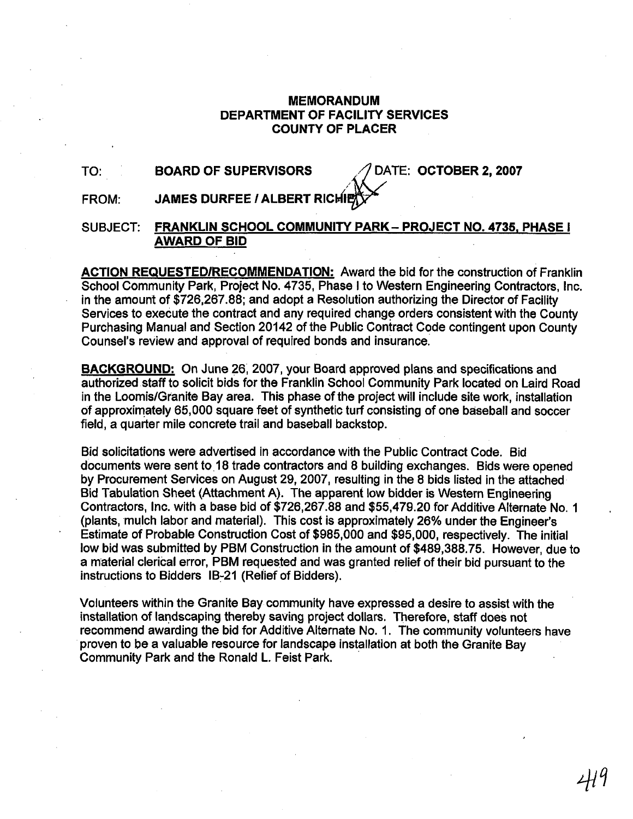### MEMORANDUM DEPARTMENT OF FACILITY SERVICES COUNTY OF PLACER

### TO: BOARD OF SUPERVISORS AND ATE: OCTOBER 2, 2007

### **FROM: JAMES DURFEE / ALBERT RICHIE**

### SUBJECT: FRANKLIN SCHOOL COMMUNITY PARK- PROJECT NO. 4735, PHASE I AWARD OF BID

ACTION **REQUESTEDIRECOMMENDATION:** Award the bid for the construction of Franklin School Community Park, Project No. 4735, Phase I to Western Engineering Contractors, Inc. in the amount of \$726,267.88; and adopt a Resolution authorizing the Director of Facility Services to execute the contract and any required change orders consistent with the County Purchasing Manual and Section 20142 of the Public Contract Code contingent upon County Counsel's review and approval of required bonds and insurance.

BACKGROUND: On June 26,2007, your Board approved plans and specifications and authorized staff to solicit bids for the Franklin School Community Park located on Laird Road in the Loomis/Granite Bay area. This phase of the project will include site work, installation of approximately 65,000 square feet of synthetic turf consisting of one baseball and soccer field, a quarter mile concrete trail and baseball backstop.

Bid solicitations were advertised in accordance with the Public Contract Code. Bid documents were sent to 18 trade contractors and 8 building exchanges. Bids were opened by Procurement Services on August 29, 2007, resulting in the 8 bids listed in the attached Bid Tabulation Sheet (Attachment A). The apparent low bidder is Western Engineering Contractors, Inc. with a base bid of \$726,267.88 and \$55,479.20 for Additive Alternate No. 1 (plants, mulch labor and material). This cost is approximately 26% under the Engineer's Estimate of Probable Construction Cost of \$985,000 and \$95,000, respectively. The initial low bid was submitted by PBM Construction in the amount of \$489,388.75. However, due to a material clerical error, PBM requested and was granted relief of their bid pursuant to the instructions to Bidders 16-21 (Relief of Bidders).

Volunteers within the Granite Bay community have expressed a desire to assist with the installation of landscaping thereby saving project dollars. Therefore, staff does not recommend awarding the bid for Additive Alternate No. 1. The community volunteers have proven to be a valuable resource for landscape installation at both the Granite Bay Community Park and the Ronald L. Feist Park.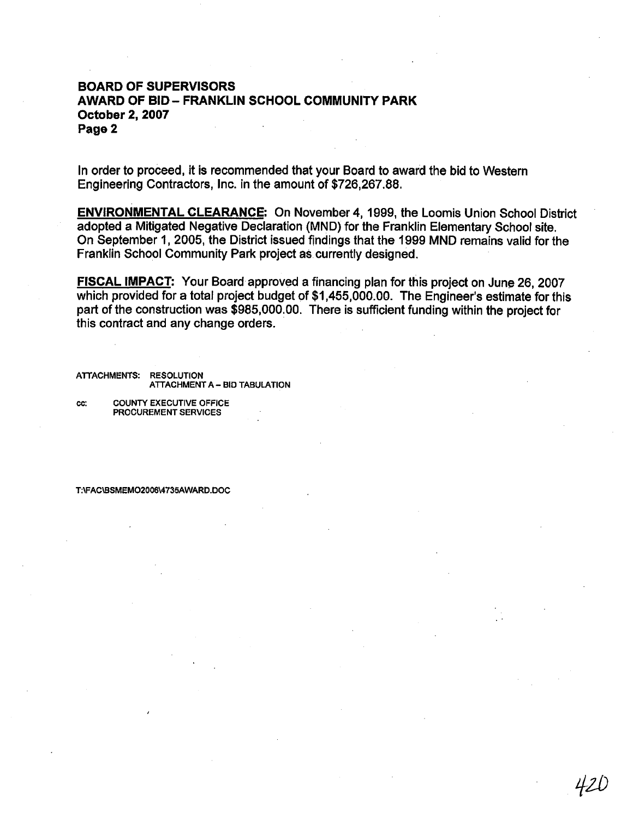### **BOARD OF SUPERVISORS AWARD OF BID- FRANKLIN SCHOOL COMMUNITY PARK October 2,2007 Page 2**

In order to proceed, it is recommended that your Board to award the bid to Western Engineering Contractors, Inc. in the amount of \$726,267.88,

**ENVIRONMENTAL CLEARANCE:** On November **4,** 1999, the Loomis Union School District adopted a Mitigated Negative Declaration (MND) for the Franklin Elementary School site. On September 1, 2005, the District issued findings that the 1999 MND remains valid for the Franklin School Community Park project as currently designed.

**FISCAL IMPACT:** Your Board approved a financing plan for this project on June 26, 2007 which provided for a total project budget of \$1,455,000.00. The Engineer's estimate for this part of the construction was \$985,000,00. There is sufficient funding within the project for this contract and any change orders.

**ATTACHMENTS: RESOLUTION ATTACHMENT A** - **BID TABULATION** 

**CC: COUNTY EXECUTIVE OFFICE PROCUREMENT SERVICES** 

T:\FAC\BSMEMO2006\4735AWARD.DOC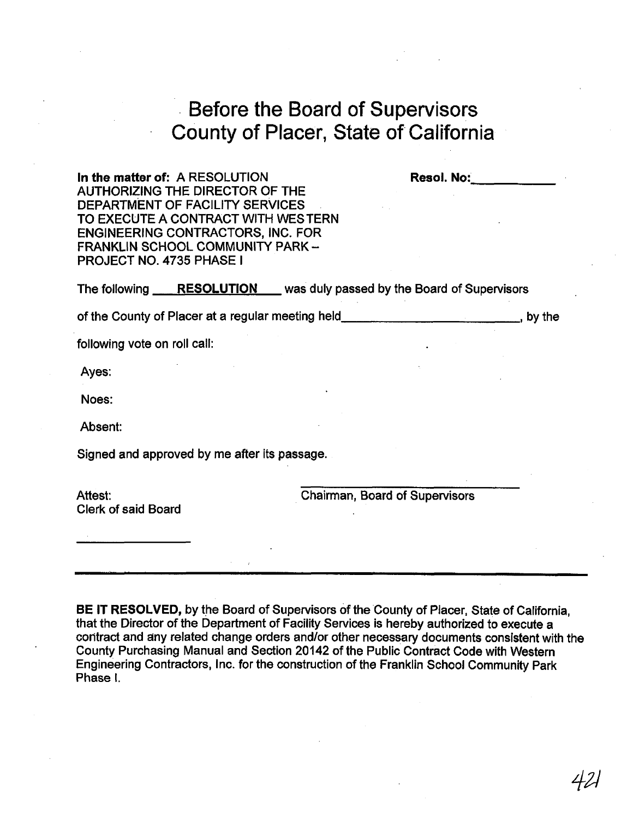# Before the Board of Supervisors County of Placer, State of California

In the matter of: A RESOLUTION **Resol. No: Resol. No:** AUTHORIZING THE DIRECTOR OF THE DEPARTMENT OF FACILITY SERVICES TO EXECUTE A CONTRACT WITH WESTERN ENGINEERING CONTRACTORS, INC. FOR FRANKLIN SCHOOL COMMUNITY PARK -PROJECT NO. 4735 PHASE I

The following **RESOLUTION** was duly passed by the Board of Supervisors

of the County of Placer at a regular meeting held **contained a container and property** by the

following vote on roll call:

Ayes:

Noes:

Absent:

Signed and approved by me after its passage.

Attest: Clerk of said Board Chairman, Board of supervisors

**BE IT RESOLVED,** by the Board of Supervisors of the County of Placer, State of California, that the Director of the Department of Facility Services is hereby authorized to execute a coritract and any related change orders and/or other necessary documents consistent with the County Purchasing Manual and Section 20142 of the Public Contract Code with Western Engineering Contractors, Inc. for the construction of the Franklin School Community Park Phase **I.**